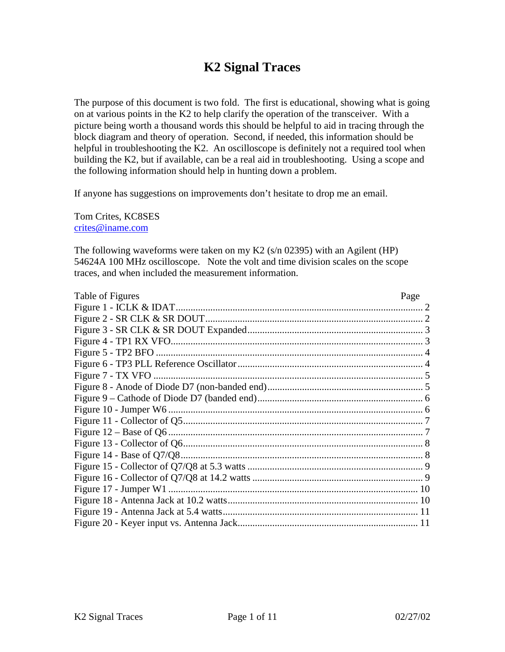# **K2 Signal Traces**

The purpose of this document is two fold. The first is educational, showing what is going on at various points in the K2 to help clarify the operation of the transceiver. With a picture being worth a thousand words this should be helpful to aid in tracing through the block diagram and theory of operation. Second, if needed, this information should be helpful in troubleshooting the K2. An oscilloscope is definitely not a required tool when building the K2, but if available, can be a real aid in troubleshooting. Using a scope and the following information should help in hunting down a problem.

If anyone has suggestions on improvements don't hesitate to drop me an email.

Tom Crites, KC8SES crites@iname.com

The following waveforms were taken on my K2 (s/n 02395) with an Agilent (HP) 54624A 100 MHz oscilloscope. Note the volt and time division scales on the scope traces, and when included the measurement information.

| Table of Figures | Page |
|------------------|------|
|                  |      |
|                  |      |
|                  |      |
|                  |      |
|                  |      |
|                  |      |
|                  |      |
|                  |      |
|                  |      |
|                  |      |
|                  |      |
|                  |      |
|                  |      |
|                  |      |
|                  |      |
|                  |      |
|                  |      |
|                  |      |
|                  |      |
|                  |      |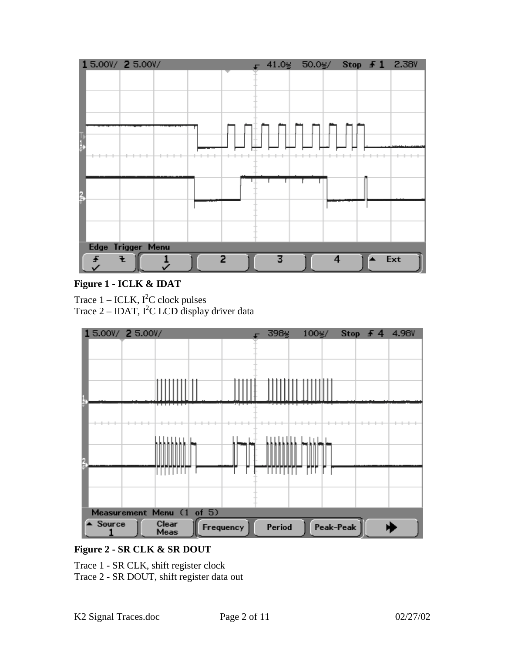

## **Figure 1 - ICLK & IDAT**

Trace  $1 - \text{ICLK}$ ,  $I^2C$  clock pulses Trace  $2 - IDAT$ ,  $I^2C$  LCD display driver data



# **Figure 2 - SR CLK & SR DOUT**

Trace 1 - SR CLK, shift register clock Trace 2 - SR DOUT, shift register data out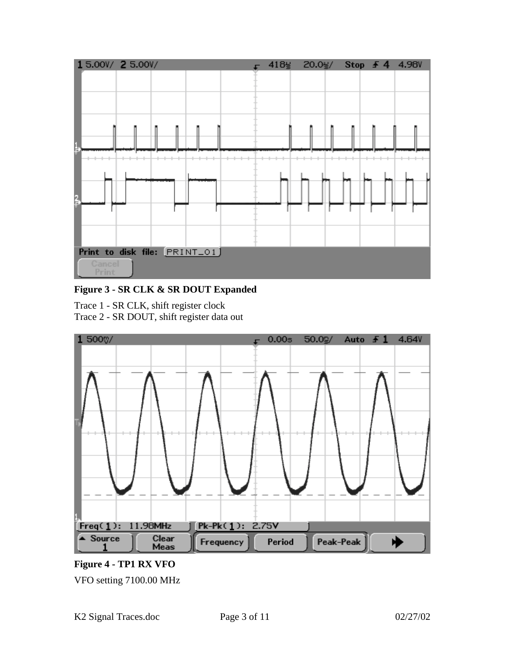

**Figure 3 - SR CLK & SR DOUT Expanded**

Trace 1 - SR CLK, shift register clock Trace 2 - SR DOUT, shift register data out



**Figure 4 - TP1 RX VFO** VFO setting 7100.00 MHz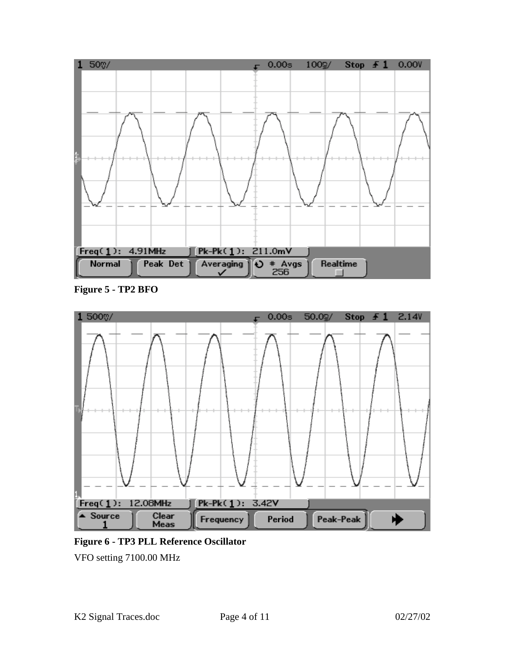

**Figure 5 - TP2 BFO**



**Figure 6 - TP3 PLL Reference Oscillator**

VFO setting 7100.00 MHz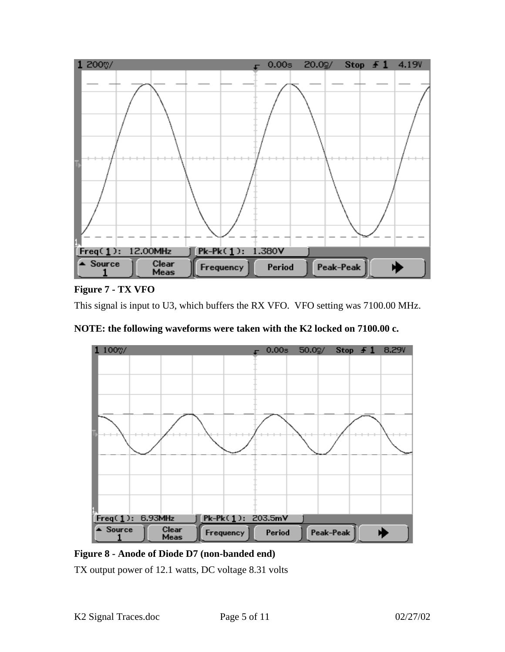

#### **Figure 7 - TX VFO**

This signal is input to U3, which buffers the RX VFO. VFO setting was 7100.00 MHz.





**Figure 8 - Anode of Diode D7 (non-banded end)**

TX output power of 12.1 watts, DC voltage 8.31 volts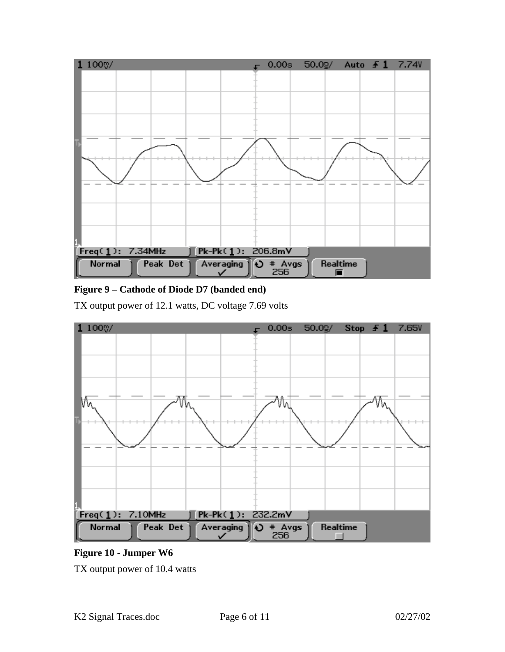

## **Figure 9 – Cathode of Diode D7 (banded end)**

TX output power of 12.1 watts, DC voltage 7.69 volts



**Figure 10 - Jumper W6**

TX output power of 10.4 watts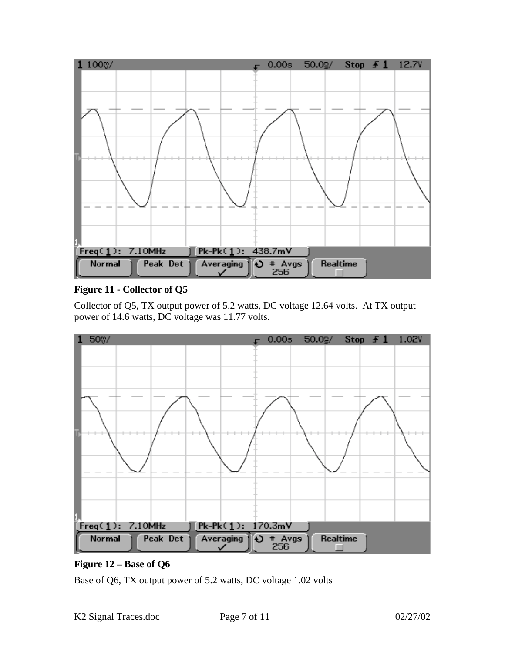

## **Figure 11 - Collector of Q5**

Collector of Q5, TX output power of 5.2 watts, DC voltage 12.64 volts. At TX output power of 14.6 watts, DC voltage was 11.77 volts.



#### **Figure 12 – Base of Q6**

Base of Q6, TX output power of 5.2 watts, DC voltage 1.02 volts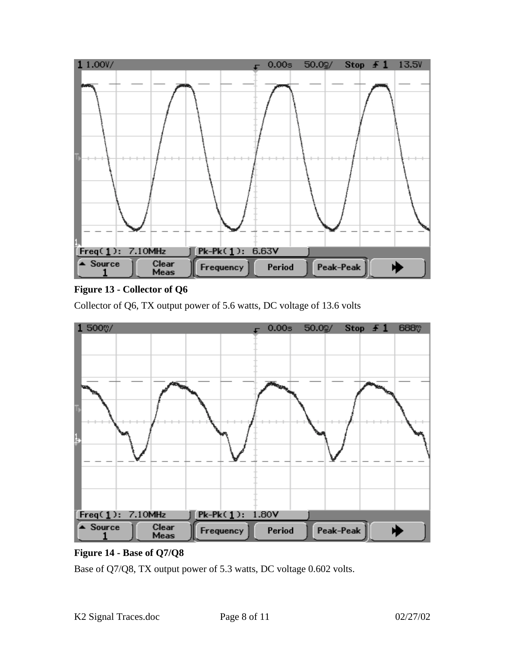

# **Figure 13 - Collector of Q6**

Collector of Q6, TX output power of 5.6 watts, DC voltage of 13.6 volts



# **Figure 14 - Base of Q7/Q8**

Base of Q7/Q8, TX output power of 5.3 watts, DC voltage 0.602 volts.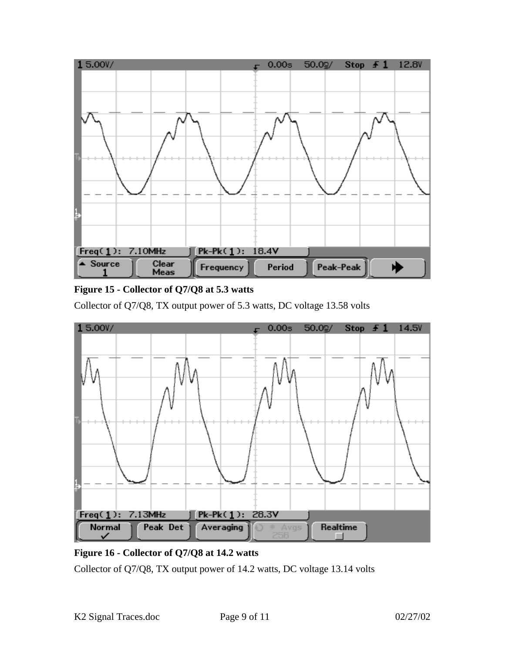

# **Figure 15 - Collector of Q7/Q8 at 5.3 watts**

Collector of Q7/Q8, TX output power of 5.3 watts, DC voltage 13.58 volts



# **Figure 16 - Collector of Q7/Q8 at 14.2 watts**

Collector of Q7/Q8, TX output power of 14.2 watts, DC voltage 13.14 volts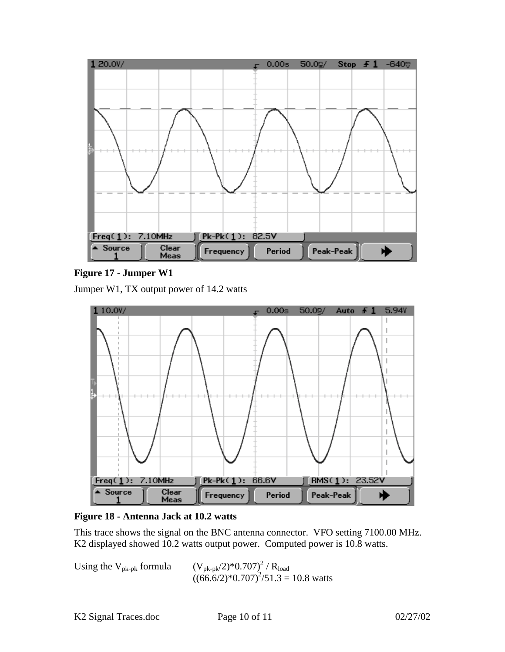

**Figure 17 - Jumper W1**

Jumper W1, TX output power of 14.2 watts



**Figure 18 - Antenna Jack at 10.2 watts**

This trace shows the signal on the BNC antenna connector. VFO setting 7100.00 MHz. K2 displayed showed 10.2 watts output power. Computed power is 10.8 watts.

Using the  $V_{pk-pk}$  formula  $/ R_{load}$  $((66.6/2)*0.707)^{2}/51.3 = 10.8$  watts